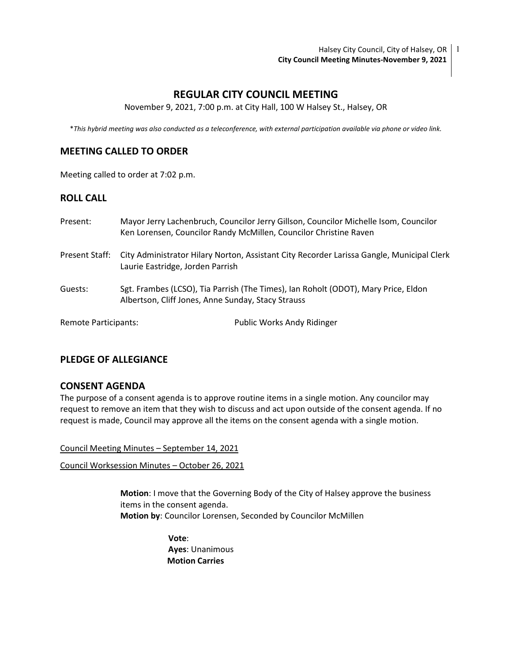Halsey City Council, City of Halsey, OR  $\mid$  1 **City Council Meeting Minutes-November 9, 2021** 

# **REGULAR CITY COUNCIL MEETING**

November 9, 2021, 7:00 p.m. at City Hall, 100 W Halsey St., Halsey, OR

\**This hybrid meeting was also conducted as a teleconference, with external participation available via phone or video link.* 

## **MEETING CALLED TO ORDER**

Meeting called to order at 7:02 p.m.

### **ROLL CALL**

| Present:                    | Mayor Jerry Lachenbruch, Councilor Jerry Gillson, Councilor Michelle Isom, Councilor<br>Ken Lorensen, Councilor Randy McMillen, Councilor Christine Raven |
|-----------------------------|-----------------------------------------------------------------------------------------------------------------------------------------------------------|
| Present Staff:              | City Administrator Hilary Norton, Assistant City Recorder Larissa Gangle, Municipal Clerk<br>Laurie Eastridge, Jorden Parrish                             |
| Guests:                     | Sgt. Frambes (LCSO), Tia Parrish (The Times), Ian Roholt (ODOT), Mary Price, Eldon<br>Albertson, Cliff Jones, Anne Sunday, Stacy Strauss                  |
| <b>Remote Participants:</b> | Public Works Andy Ridinger                                                                                                                                |

### **PLEDGE OF ALLEGIANCE**

### **CONSENT AGENDA**

The purpose of a consent agenda is to approve routine items in a single motion. Any councilor may request to remove an item that they wish to discuss and act upon outside of the consent agenda. If no request is made, Council may approve all the items on the consent agenda with a single motion.

Council Meeting Minutes – September 14, 2021

Council Worksession Minutes – October 26, 2021

**Motion**: I move that the Governing Body of the City of Halsey approve the business items in the consent agenda. **Motion by**: Councilor Lorensen, Seconded by Councilor McMillen

> **Vote**: **Ayes**: Unanimous  **Motion Carries**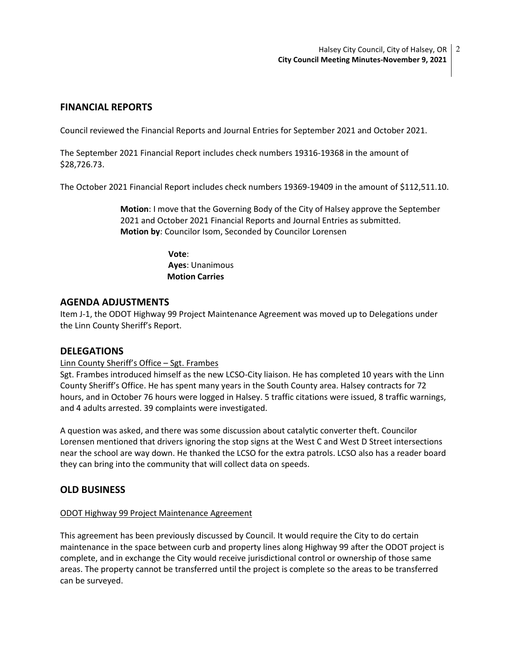## **FINANCIAL REPORTS**

Council reviewed the Financial Reports and Journal Entries for September 2021 and October 2021.

The September 2021 Financial Report includes check numbers 19316-19368 in the amount of \$28,726.73.

The October 2021 Financial Report includes check numbers 19369-19409 in the amount of \$112,511.10.

**Motion**: I move that the Governing Body of the City of Halsey approve the September 2021 and October 2021 Financial Reports and Journal Entries as submitted. **Motion by**: Councilor Isom, Seconded by Councilor Lorensen

> **Vote**: **Ayes**: Unanimous  **Motion Carries**

## **AGENDA ADJUSTMENTS**

Item J-1, the ODOT Highway 99 Project Maintenance Agreement was moved up to Delegations under the Linn County Sheriff's Report.

## **DELEGATIONS**

### Linn County Sheriff's Office – Sgt. Frambes

Sgt. Frambes introduced himself as the new LCSO-City liaison. He has completed 10 years with the Linn County Sheriff's Office. He has spent many years in the South County area. Halsey contracts for 72 hours, and in October 76 hours were logged in Halsey. 5 traffic citations were issued, 8 traffic warnings, and 4 adults arrested. 39 complaints were investigated.

A question was asked, and there was some discussion about catalytic converter theft. Councilor Lorensen mentioned that drivers ignoring the stop signs at the West C and West D Street intersections near the school are way down. He thanked the LCSO for the extra patrols. LCSO also has a reader board they can bring into the community that will collect data on speeds.

## **OLD BUSINESS**

### ODOT Highway 99 Project Maintenance Agreement

This agreement has been previously discussed by Council. It would require the City to do certain maintenance in the space between curb and property lines along Highway 99 after the ODOT project is complete, and in exchange the City would receive jurisdictional control or ownership of those same areas. The property cannot be transferred until the project is complete so the areas to be transferred can be surveyed.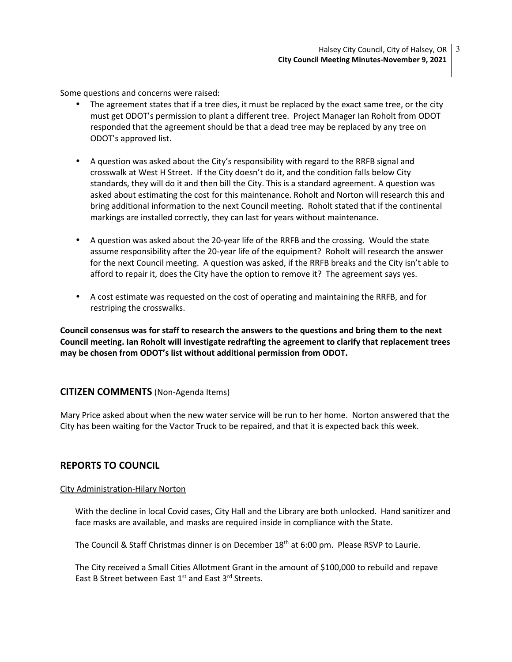Some questions and concerns were raised:

- The agreement states that if a tree dies, it must be replaced by the exact same tree, or the city must get ODOT's permission to plant a different tree. Project Manager Ian Roholt from ODOT responded that the agreement should be that a dead tree may be replaced by any tree on ODOT's approved list.
- A question was asked about the City's responsibility with regard to the RRFB signal and crosswalk at West H Street. If the City doesn't do it, and the condition falls below City standards, they will do it and then bill the City. This is a standard agreement. A question was asked about estimating the cost for this maintenance. Roholt and Norton will research this and bring additional information to the next Council meeting. Roholt stated that if the continental markings are installed correctly, they can last for years without maintenance.
- A question was asked about the 20-year life of the RRFB and the crossing. Would the state assume responsibility after the 20-year life of the equipment? Roholt will research the answer for the next Council meeting. A question was asked, if the RRFB breaks and the City isn't able to afford to repair it, does the City have the option to remove it? The agreement says yes.
- A cost estimate was requested on the cost of operating and maintaining the RRFB, and for restriping the crosswalks.

**Council consensus was for staff to research the answers to the questions and bring them to the next Council meeting. Ian Roholt will investigate redrafting the agreement to clarify that replacement trees may be chosen from ODOT's list without additional permission from ODOT.**

## **CITIZEN COMMENTS** (Non-Agenda Items)

Mary Price asked about when the new water service will be run to her home. Norton answered that the City has been waiting for the Vactor Truck to be repaired, and that it is expected back this week.

## **REPORTS TO COUNCIL**

#### City Administration-Hilary Norton

With the decline in local Covid cases, City Hall and the Library are both unlocked. Hand sanitizer and face masks are available, and masks are required inside in compliance with the State.

The Council & Staff Christmas dinner is on December 18<sup>th</sup> at 6:00 pm. Please RSVP to Laurie.

The City received a Small Cities Allotment Grant in the amount of \$100,000 to rebuild and repave East B Street between East  $1<sup>st</sup>$  and East  $3<sup>rd</sup>$  Streets.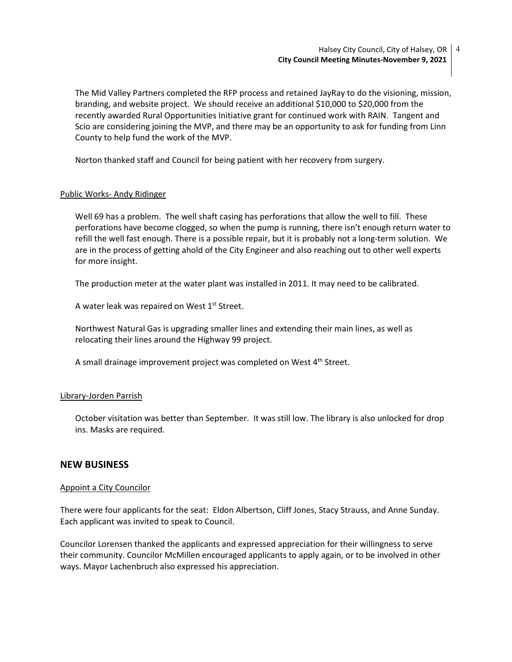The Mid Valley Partners completed the RFP process and retained JayRay to do the visioning, mission, branding, and website project. We should receive an additional \$10,000 to \$20,000 from the recently awarded Rural Opportunities Initiative grant for continued work with RAIN. Tangent and Scio are considering joining the MVP, and there may be an opportunity to ask for funding from Linn County to help fund the work of the MVP.

Norton thanked staff and Council for being patient with her recovery from surgery.

#### Public Works- Andy Ridinger

Well 69 has a problem. The well shaft casing has perforations that allow the well to fill. These perforations have become clogged, so when the pump is running, there isn't enough return water to refill the well fast enough. There is a possible repair, but it is probably not a long-term solution. We are in the process of getting ahold of the City Engineer and also reaching out to other well experts for more insight.

The production meter at the water plant was installed in 2011. It may need to be calibrated.

A water leak was repaired on West 1<sup>st</sup> Street.

Northwest Natural Gas is upgrading smaller lines and extending their main lines, as well as relocating their lines around the Highway 99 project.

A small drainage improvement project was completed on West 4<sup>th</sup> Street.

#### Library-Jorden Parrish

October visitation was better than September. It was still low. The library is also unlocked for drop ins. Masks are required.

### **NEW BUSINESS**

#### Appoint a City Councilor

There were four applicants for the seat: Eldon Albertson, Cliff Jones, Stacy Strauss, and Anne Sunday. Each applicant was invited to speak to Council.

Councilor Lorensen thanked the applicants and expressed appreciation for their willingness to serve their community. Councilor McMillen encouraged applicants to apply again, or to be involved in other ways. Mayor Lachenbruch also expressed his appreciation.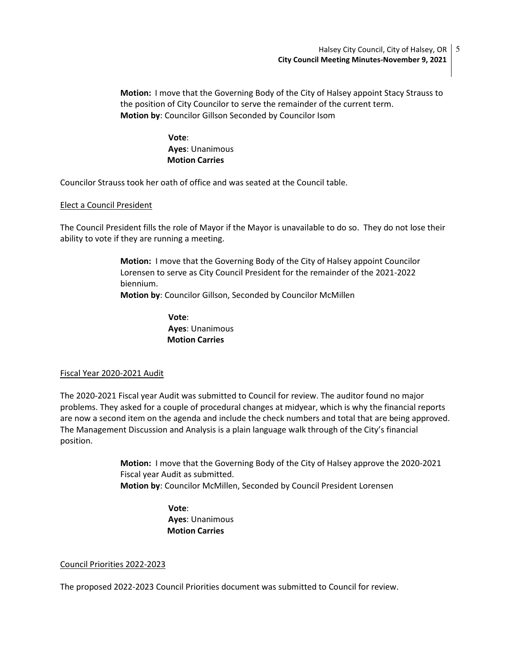**Motion:** I move that the Governing Body of the City of Halsey appoint Stacy Strauss to the position of City Councilor to serve the remainder of the current term. **Motion by**: Councilor Gillson Seconded by Councilor Isom

> **Vote**: **Ayes**: Unanimous  **Motion Carries**

Councilor Strauss took her oath of office and was seated at the Council table.

### Elect a Council President

The Council President fills the role of Mayor if the Mayor is unavailable to do so. They do not lose their ability to vote if they are running a meeting.

> **Motion:** I move that the Governing Body of the City of Halsey appoint Councilor Lorensen to serve as City Council President for the remainder of the 2021-2022 biennium.

**Motion by**: Councilor Gillson, Seconded by Councilor McMillen

 **Vote**: **Ayes**: Unanimous  **Motion Carries** 

#### Fiscal Year 2020-2021 Audit

The 2020-2021 Fiscal year Audit was submitted to Council for review. The auditor found no major problems. They asked for a couple of procedural changes at midyear, which is why the financial reports are now a second item on the agenda and include the check numbers and total that are being approved. The Management Discussion and Analysis is a plain language walk through of the City's financial position.

> **Motion:** I move that the Governing Body of the City of Halsey approve the 2020-2021 Fiscal year Audit as submitted. **Motion by**: Councilor McMillen, Seconded by Council President Lorensen

> > **Vote**: **Ayes**: Unanimous  **Motion Carries**

#### Council Priorities 2022-2023

The proposed 2022-2023 Council Priorities document was submitted to Council for review.